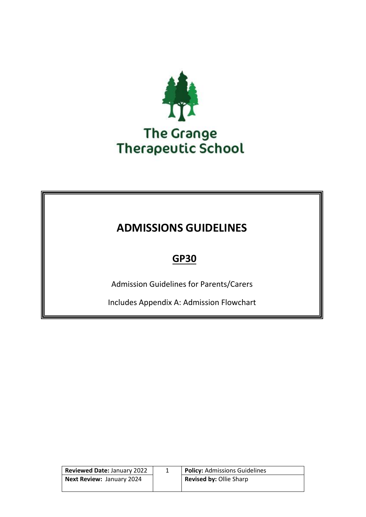

# **ADMISSIONS GUIDELINES**

# **GP30**

Admission Guidelines for Parents/Carers

Includes Appendix A: Admission Flowchart

| <b>Reviewed Date: January 2022</b> | <b>Policy: Admissions Guidelines</b> |
|------------------------------------|--------------------------------------|
| <b>Next Review: January 2024</b>   | <b>Revised by: Ollie Sharp</b>       |
|                                    |                                      |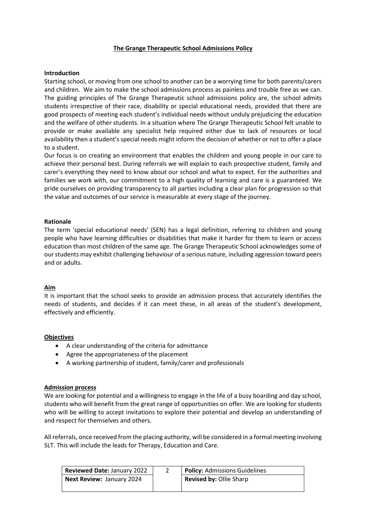### **The Grange Therapeutic School Admissions Policy**

#### **Introduction**

Starting school, or moving from one school to another can be a worrying time for both parents/carers and children. We aim to make the school admissions process as painless and trouble free as we can. The guiding principles of The Grange Therapeutic school admissions policy are, the school admits students irrespective of their race, disability or special educational needs, provided that there are good prospects of meeting each student's individual needs without unduly prejudicing the education and the welfare of other students. In a situation where The Grange Therapeutic School felt unable to provide or make available any specialist help required either due to lack of resources or local availability then a student's special needs might inform the decision of whether or not to offer a place to a student.

Our focus is on creating an environment that enables the children and young people in our care to achieve their personal best. During referrals we will explain to each prospective student, family and carer's everything they need to know about our school and what to expect. For the authorities and families we work with, our commitment to a high quality of learning and care is a guaranteed. We pride ourselves on providing transparency to all parties including a clear plan for progression so that the value and outcomes of our service is measurable at every stage of the journey.

#### **Rationale**

The term 'special educational needs' (SEN) has a legal definition, referring to children and young people who have learning difficulties or disabilities that make it harder for them to learn or access education than most children of the same age. The Grange Therapeutic School acknowledges some of our students may exhibit challenging behaviour of a serious nature, including aggression toward peers and or adults.

#### **Aim**

It is important that the school seeks to provide an admission process that accurately identifies the needs of students, and decides if it can meet these, in all areas of the student's development, effectively and efficiently.

#### **Objectives**

- A clear understanding of the criteria for admittance
- Agree the appropriateness of the placement
- A working partnership of student, family/carer and professionals

#### **Admission process**

We are looking for potential and a willingness to engage in the life of a busy boarding and day school, students who will benefit from the great range of opportunities on offer. We are looking for students who will be willing to accept invitations to explore their potential and develop an understanding of and respect for themselves and others.

All referrals, once received from the placing authority, will be considered in a formal meeting involving SLT. This will include the leads for Therapy, Education and Care.

| <b>Reviewed Date: January 2022</b> | <b>Policy: Admissions Guidelines</b> |
|------------------------------------|--------------------------------------|
| <b>Next Review: January 2024</b>   | <b>Revised by: Ollie Sharp</b>       |
|                                    |                                      |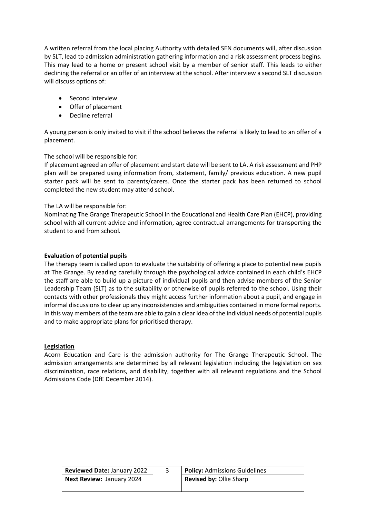A written referral from the local placing Authority with detailed SEN documents will, after discussion by SLT, lead to admission administration gathering information and a risk assessment process begins. This may lead to a home or present school visit by a member of senior staff. This leads to either declining the referral or an offer of an interview at the school. After interview a second SLT discussion will discuss options of:

- Second interview
- Offer of placement
- Decline referral

A young person is only invited to visit if the school believes the referral is likely to lead to an offer of a placement.

# The school will be responsible for:

If placement agreed an offer of placement and start date will be sent to LA. A risk assessment and PHP plan will be prepared using information from, statement, family/ previous education. A new pupil starter pack will be sent to parents/carers. Once the starter pack has been returned to school completed the new student may attend school.

# The LA will be responsible for:

Nominating The Grange Therapeutic School in the Educational and Health Care Plan (EHCP), providing school with all current advice and information, agree contractual arrangements for transporting the student to and from school.

#### **Evaluation of potential pupils**

The therapy team is called upon to evaluate the suitability of offering a place to potential new pupils at The Grange. By reading carefully through the psychological advice contained in each child's EHCP the staff are able to build up a picture of individual pupils and then advise members of the Senior Leadership Team (SLT) as to the suitability or otherwise of pupils referred to the school. Using their contacts with other professionals they might access further information about a pupil, and engage in informal discussions to clear up any inconsistencies and ambiguities contained in more formal reports. In this way members of the team are able to gain a clear idea of the individual needs of potential pupils and to make appropriate plans for prioritised therapy.

#### **Legislation**

Acorn Education and Care is the admission authority for The Grange Therapeutic School. The admission arrangements are determined by all relevant legislation including the legislation on sex discrimination, race relations, and disability, together with all relevant regulations and the School Admissions Code (DfE December 2014).

| <b>Reviewed Date: January 2022</b> | <b>Policy: Admissions Guidelines</b> |
|------------------------------------|--------------------------------------|
| <b>Next Review: January 2024</b>   | <b>Revised by: Ollie Sharp</b>       |
|                                    |                                      |